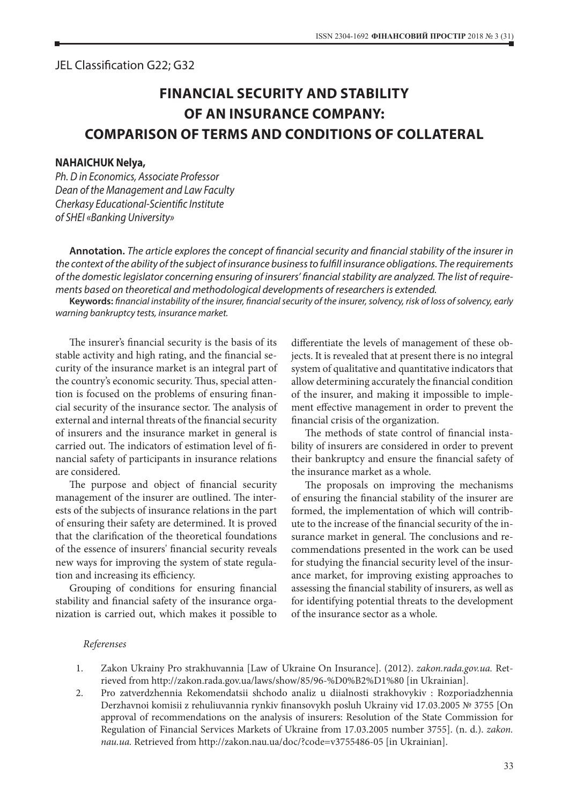## JEL Classification G22; G32

## **FINANCIAL SECURITY AND STABILITY OF AN INSURANCE COMPANY: COMPARISON OF TERMS AND CONDITIONS OF COLLATERAL**

## **NAHAICHUK Nelya,**

*Ph. D in Economics, Associate Professor Dean of the Management and Law Faculty Cherkasy Educational-Scientific Institute of SHEI «Banking University»*

**Annotation.** *The article explores the concept of financial security and financial stability of the insurer in the context of the ability of the subject of insurance business to fulfill insurance obligations. The requirements of the domestic legislator concerning ensuring of insurers' financial stability are analyzed. The list of requirements based on theoretical and methodological developments of researchers is extended.*

**Keywords:** *financial instability of the insurer, financial security of the insurer, solvency, risk of loss of solvency, early warning bankruptcy tests, insurance market.*

The insurer's financial security is the basis of its stable activity and high rating, and the financial security of the insurance market is an integral part of the country's economic security. Thus, special attention is focused on the problems of ensuring financial security of the insurance sector. The analysis of external and internal threats of the financial security of insurers and the insurance market in general is carried out. The indicators of estimation level of financial safety of participants in insurance relations are considered.

The purpose and object of financial security management of the insurer are outlined. The interests of the subjects of insurance relations in the part of ensuring their safety are determined. It is proved that the clarification of the theoretical foundations of the essence of insurers' financial security reveals new ways for improving the system of state regulation and increasing its efficiency.

Grouping of conditions for ensuring financial stability and financial safety of the insurance organization is carried out, which makes it possible to differentiate the levels of management of these objects. It is revealed that at present there is no integral system of qualitative and quantitative indicators that allow determining accurately the financial condition of the insurer, and making it impossible to implement effective management in order to prevent the financial crisis of the organization.

The methods of state control of financial instability of insurers are considered in order to prevent their bankruptcy and ensure the financial safety of the insurance market as a whole.

The proposals on improving the mechanisms of ensuring the financial stability of the insurer are formed, the implementation of which will contribute to the increase of the financial security of the insurance market in general. The conclusions and recommendations presented in the work can be used for studying the financial security level of the insurance market, for improving existing approaches to assessing the financial stability of insurers, as well as for identifying potential threats to the development of the insurance sector as a whole.

## *Referenses*

- 1. Zakon Ukrainy Pro strakhuvannia [Law of Ukraine On Insurance]. (2012). *zakon.rada.gov.ua.* Retrieved from http://zakon.rada.gov.ua/laws/show/85/96-%D0%B2%D1%80 [in Ukrainian].
- 2. Pro zatverdzhennia Rekomendatsii shchodo analiz u diialnosti strakhovykiv : Rozporiadzhennia Derzhavnoi komisii z rehuliuvannia rynkiv finansovykh posluh Ukrainy vid 17.03.2005 № 3755 [On approval of recommendations on the analysis of insurers: Resolution of the State Commission for Regulation of Financial Services Markets of Ukraine from 17.03.2005 number 3755]. (n. d.). *zakon. nau.ua.* Retrieved from http://zakon.nau.ua/doc/?code=v3755486-05 [in Ukrainian].